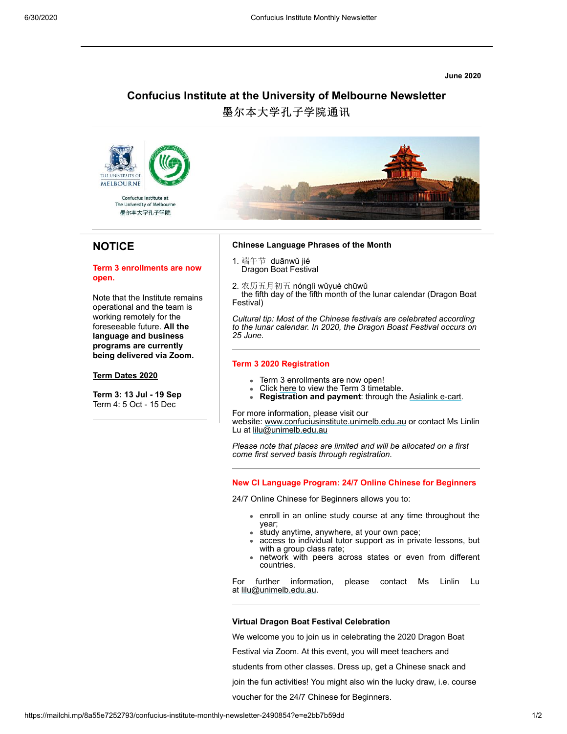**June 2020**

# **Confucius Institute at the University of Melbourne Newsletter**

墨尔本大学孔子学院通讯



墨尔本大学孔子学院

## **NOTICE**

### **Term 3 enrollments are now open.**

Note that the Institute remains operational and the team is working remotely for the foreseeable future. **All the language and business programs are currently being delivered via Zoom.**

### **Term Dates 2020**

**Term 3: 13 Jul - 19 Sep** Term 4: 5 Oct - 15 Dec



#### **Chinese Language Phrases of the Month**

- 1. 端午节 duānwǔ jié Dragon Boat Festival
	-

2. 农历五月初五 nónglì wǔyuè chūwǔ the fifth day of the fifth month of the lunar calendar (Dragon Boat Festival)

*Cultural tip: Most of the Chinese festivals are celebrated according to the lunar calendar. In 2020, the Dragon Boast Festival occurs on 25 June.*

## **Term 3 2020 Registration**

- Term 3 enrollments are now open!  $\bullet$
- Click [here](http://www.confuciusinstitute.unimelb.edu.au/sites/ci-files-public/ci-files-public/2020%20Timetable%20Term%203%20-%20EX_0.pdf) to view the Term 3 timetable.
- **Registration and payment**: through the [Asialink e-cart](http://ecommerce.asialink.unimelb.edu.au/categories.asp?cID=10&c=23466).

For more information, please visit our

website: [www.confuciusinstitute.unimelb.edu.au](http://www.confuciusinstitute.unimelb.edu.au/?q=confucius-institute-language-programs) or contact Ms Linlin Lu at [lilu@unimelb.edu.au](mailto:lilu@unimelb.edu.au)

*Please note that places are limited and will be allocated on a first come first served basis through registration.*

**New CI Language Program: 24/7 Online Chinese for Beginners**

24/7 Online Chinese for Beginners allows you to:

- enroll in an online study course at any time throughout the year;
- study anytime, anywhere, at your own pace;
- access to individual tutor support as in private lessons, but with a group class rate;
- network with peers across states or even from different countries.

For further information, please contact Ms Linlin Lu at [lilu@unimelb.edu.au](mailto:lilu@unimelb.edu.au).

#### **Virtual Dragon Boat Festival Celebration**

We welcome you to join us in celebrating the 2020 Dragon Boat

Festival via Zoom. At this event, you will meet teachers and

students from other classes. Dress up, get a Chinese snack and

join the fun activities! You might also win the lucky draw, i.e. course

voucher for the 24/7 Chinese for Beginners.